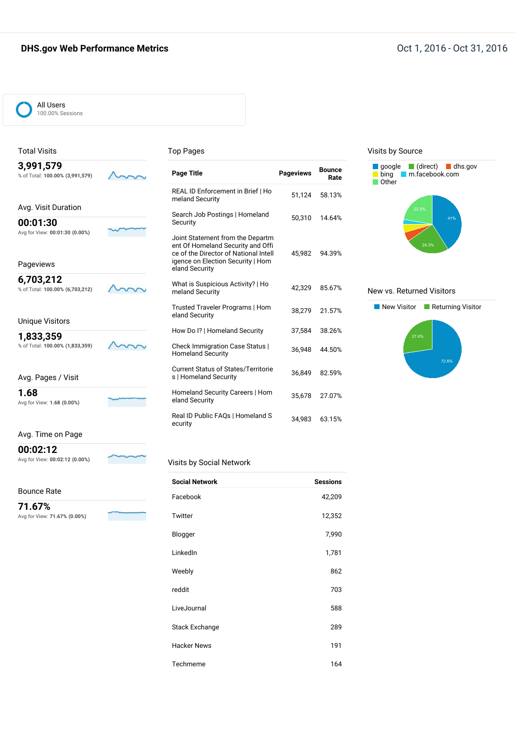#### **DHS.gov Web Performance Metrics COMPACT 2016 Oct 1, 2016 - Oct 31, 2016**



#### Total Visits

#### Top Pages

| 3,991,579<br>% of Total: 100.00% (3,991,579) | <b>Page Title</b>                                                                                                                                                     | <b>Pageviews</b> | <b>Bounce</b><br>Rate |
|----------------------------------------------|-----------------------------------------------------------------------------------------------------------------------------------------------------------------------|------------------|-----------------------|
| Avg. Visit Duration                          | REAL ID Enforcement in Brief I Ho<br>meland Security                                                                                                                  | 51.124           | 58.13%                |
| 00:01:30                                     | Search Job Postings   Homeland<br>Security                                                                                                                            | 50,310           | 14.64%                |
| Avg for View: 00:01:30 (0.00%)<br>Pageviews  | Joint Statement from the Departm<br>ent Of Homeland Security and Offi<br>ce of the Director of National Intell<br>igence on Election Security   Hom<br>eland Security | 45,982           | 94.39%                |
| 6,703,212<br>% of Total: 100.00% (6,703,212) | What is Suspicious Activity?   Ho<br>meland Security                                                                                                                  | 42.329           | 85.67%                |
| <b>Unique Visitors</b>                       | Trusted Traveler Programs   Hom<br>eland Security                                                                                                                     | 38,279           | 21.57%                |
| 1,833,359                                    | How Do I?   Homeland Security                                                                                                                                         | 37,584           | 38.26%                |
| % of Total: 100.00% (1,833,359)              | Check Immigration Case Status  <br><b>Homeland Security</b>                                                                                                           | 36.948           | 44.50%                |
| Avg. Pages / Visit                           | <b>Current Status of States/Territorie</b><br>s   Homeland Security                                                                                                   | 36.849           | 82.59%                |
| 1.68<br>Avg for View: 1.68 (0.00%)           | Homeland Security Careers   Hom<br>eland Security                                                                                                                     | 35,678           | 27.07%                |
|                                              | Real ID Public FAQs   Homeland S<br>ecurity                                                                                                                           | 34,983           | 63.15%                |

#### Visits by Source



#### New vs. Returned Visitors



#### Avg. Time on Page

**00:02:12** Avg for View: **00:02:12 (0.00%)**

Bounce Rate

**71.67%** Avg for View: **71.67% (0.00%)**



Visits by Social Network

| <b>Social Network</b> | <b>Sessions</b> |
|-----------------------|-----------------|
| Facebook              | 42,209          |
| Twitter               | 12,352          |
| Blogger               | 7,990           |
| LinkedIn              | 1,781           |
| Weebly                | 862             |
| reddit                | 703             |
| LiveJournal           | 588             |
| Stack Exchange        | 289             |
| <b>Hacker News</b>    | 191             |
| Techmeme              | 164             |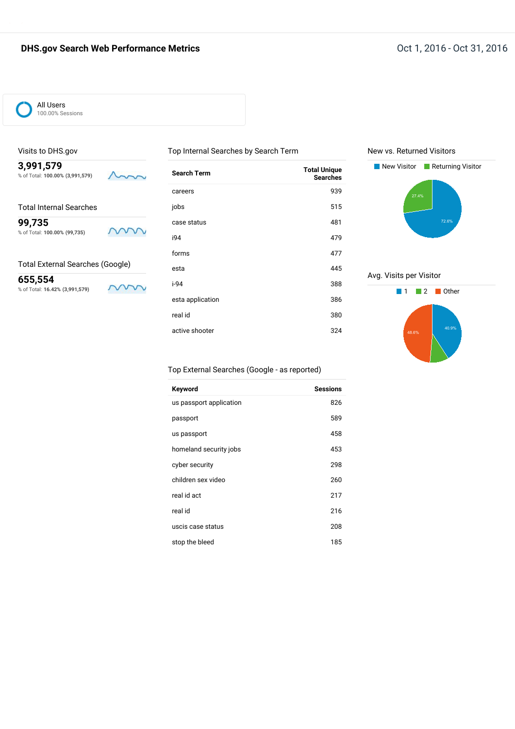### **DHS.gov Search Web Performance Metrics COMPAGE 2016** 2016 - Oct 1, 2016 - Oct 31, 2016



#### Visits to DHS.gov

**3,991,579** % of Total: **100.00% (3,991,579)**

|  | <b>Total Internal Searches</b> |
|--|--------------------------------|

**99,735** % of Total: **100.00% (99,735)**

#### Total External Searches (Google)

**655,554** % of Total: **16.42% (3,991,579)**

m

m

mm

| <b>Search Term</b> | <b>Total Unique</b><br><b>Searches</b> |
|--------------------|----------------------------------------|
| careers            | 939                                    |
| jobs               | 515                                    |
| case status        | 481                                    |
| i94                | 479                                    |
| forms              | 477                                    |
| esta               | 445                                    |
| i-94               | 388                                    |
| esta application   | 386                                    |
| real id            | 380                                    |
| active shooter     | 324                                    |
|                    |                                        |

Top Internal Searches by Search Term

#### New vs. Returned Visitors



#### Avg. Visits per Visitor



#### Top External Searches (Google - as reported)

| Keyword                 | <b>Sessions</b> |
|-------------------------|-----------------|
| us passport application | 826             |
| passport                | 589             |
| us passport             | 458             |
| homeland security jobs  | 453             |
| cyber security          | 298             |
| children sex video      | 260             |
| real id act             | 217             |
| real id                 | 216             |
| uscis case status       | 208             |
| stop the bleed          | 185             |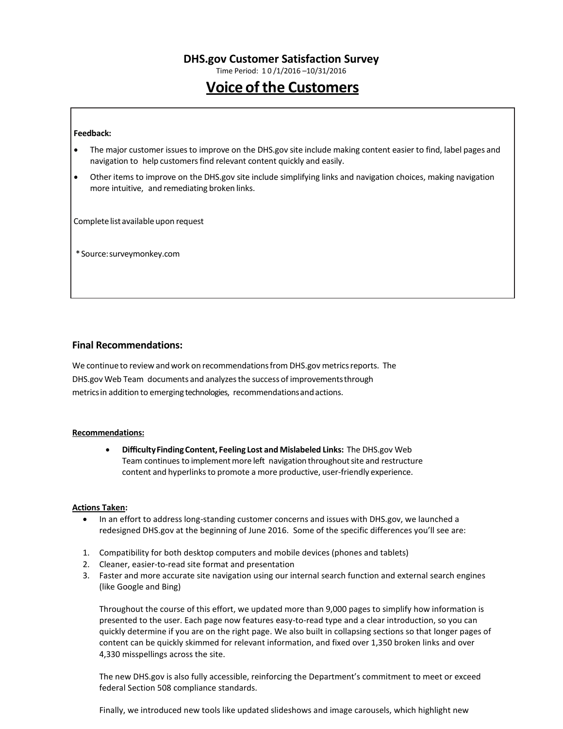Time Period: 1 0 /1/2016 –10/31/2016

# **Voice of the Customers**

#### **Feedback:**

- The major customer issuesto improve on the DHS.gov site include making content easier to find, label pages and navigation to help customers find relevant content quickly and easily.
- Other items to improve on the DHS.gov site include simplifying links and navigation choices, making navigation more intuitive, and remediating broken links.

Complete list available upon request

\*Source:surveymonkey.com

#### **Final Recommendations:**

We continue to review and work on recommendations from DHS.gov metrics reports. The DHS.gov Web Team documents and analyzesthe success of improvementsthrough metricsin addition to emerging technologies, recommendationsandactions.

#### **Recommendations:**

 **DifficultyFindingContent, Feeling Lost and Mislabeled Links:** The DHS.gov Web Team continues to implement more left navigation throughout site and restructure content and hyperlinks to promote a more productive, user-friendly experience.

#### **Actions Taken:**

- In an effort to address long-standing customer concerns and issues with DHS.gov, we launched a redesigned DHS.gov at the beginning of June 2016. Some of the specific differences you'll see are:
- 1. Compatibility for both desktop computers and mobile devices (phones and tablets)
- 2. Cleaner, easier-to-read site format and presentation
- 3. Faster and more accurate site navigation using our internal search function and external search engines (like Google and Bing)

Throughout the course of this effort, we updated more than 9,000 pages to simplify how information is presented to the user. Each page now features easy-to-read type and a clear introduction, so you can quickly determine if you are on the right page. We also built in collapsing sections so that longer pages of content can be quickly skimmed for relevant information, and fixed over 1,350 broken links and over 4,330 misspellings across the site.

The new DHS.gov is also fully accessible, reinforcing the Department's commitment to meet or exceed federal Section 508 compliance standards.

Finally, we introduced new tools like updated slideshows and image carousels, which highlight new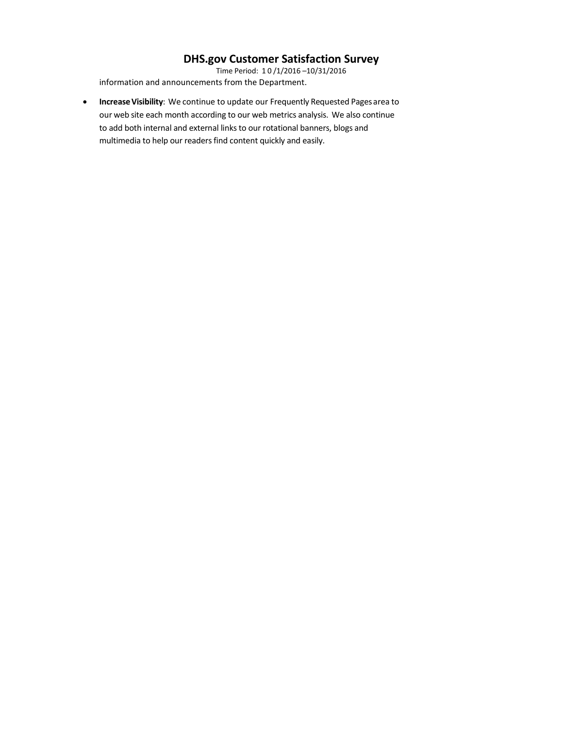Time Period: 1 0 /1/2016 –10/31/2016 information and announcements from the Department.

**Increase Visibility**: We continue to update our Frequently Requested Pages area to our web site each month according to our web metrics analysis. We also continue to add both internal and external links to our rotational banners, blogs and multimedia to help our readers find content quickly and easily.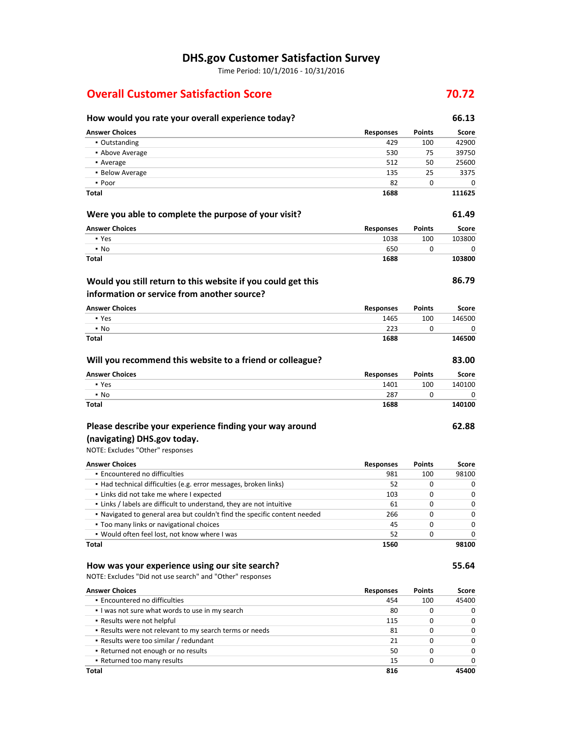Time Period: 10/1/2016 - 10/31/2016

### **Overall Customer Satisfaction Score 1986 1986 70.72**

### **Answer Choices Responses Points Score** ▪ Outstanding 429 100 42900 **• Above Average 639750 120 and 2012 12:00 12:00 13:00 13:00 13:00 13:00 14:00 14:00 14:00 14:00 14:00 14:00 14:00 14:00 14:00 14:00 14:00 14:00 14:00 14:00 14:00 14:00 14:00 14:00 14:00 14:00 14:00 14:00 14:00 14:00 14:00 •** Average 512 50 25600 ■ Below Average 25 3375 25 3375  $\bullet$  Poor 82 0 0 0 **Total 1688 111625 Were you able to complete the purpose of your visit? 61.49 Answer Choices Responses Points Score** ▪ Yes 1038 100 103800  $\bullet$  No 650 0 0 0 0  $\bullet$ **Total 1688 103800 86.79 Answer Choices Responses Points Score** ▪ Yes 1465 100 146500 • No 223 0 0 0 **Total 1688 146500 Will you recommend this website to a friend or colleague? 83.00 Answer Choices Responses Points Score** ▪ Yes 1401 100 140100 • No 287 0 0 0 0 0 0 0 1 1 287 0 0 0 1 287 1 287 0 0 0 1 287 1 287 1 287 1 287 1 287 1 287 1 287 1 287 1 287 1 287 1 287 1 288 1 288 1 288 1 288 1 288 1 288 1 288 1 288 1 288 1 288 1 288 1 288 1 288 1 288 1 288 1 288 1 288 **Total 1688 140100 Would you still return to this website if you could get this information or service from another source?**

### **Please describe your experience finding your way around**

### **(navigating) DHS.gov today.**

NOTE: Excludes "Other" responses

| <b>Answer Choices</b>                                                     | <b>Responses</b> | <b>Points</b> | Score        |
|---------------------------------------------------------------------------|------------------|---------------|--------------|
| • Encountered no difficulties                                             | 981              | 100           | 98100        |
| • Had technical difficulties (e.g. error messages, broken links)          | 52               | 0             |              |
| • Links did not take me where I expected                                  | 103              | $\Omega$      | <sup>0</sup> |
| . Links / labels are difficult to understand, they are not intuitive      | 61               | $\Omega$      | O            |
| . Navigated to general area but couldn't find the specific content needed | 266              | $\Omega$      |              |
| • Too many links or navigational choices                                  | 45               | $\Omega$      |              |
| . Would often feel lost, not know where I was                             | 52               | $\Omega$      |              |
| Total                                                                     | 1560             |               | 98100        |

#### **How was your experience using our site search? 55.64**

NOTE: Excludes "Did not use search" and "Other" responses

| <b>Answer Choices</b>                                   | <b>Responses</b> | <b>Points</b> | Score        |
|---------------------------------------------------------|------------------|---------------|--------------|
| • Encountered no difficulties                           | 454              | 100           | 45400        |
| I was not sure what words to use in my search           | 80               |               | 0            |
| • Results were not helpful                              | 115              |               | 0            |
| . Results were not relevant to my search terms or needs | 81               | 0             | 0            |
| • Results were too similar / redundant                  | 21               | O             | $\Omega$     |
| • Returned not enough or no results                     | 50               | 0             | $\Omega$     |
| • Returned too many results                             | 15               | 0             | <sup>0</sup> |
| Total                                                   | 816              |               | 45400        |

# **How would you rate your overall experience today? 66.13**

**62.88**